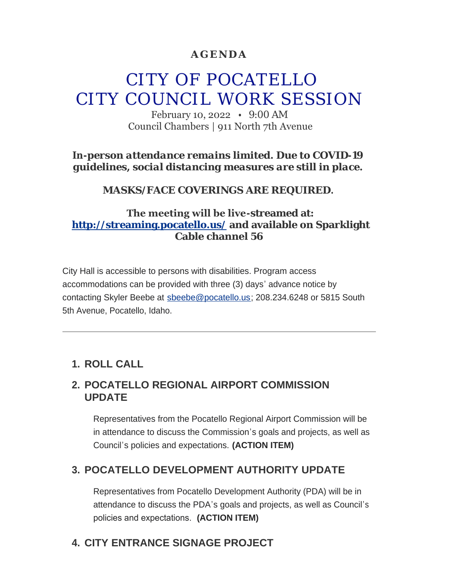## **AGENDA**

# CITY OF POCATELLO CITY COUNCIL WORK SESSION

February 10, 2022 • 9:00 AM Council Chambers | 911 North 7th Avenue

*In-person attendance remains limited. Due to COVID-19 guidelines, social distancing measures are still in place.*

*MASKS/FACE COVERINGS ARE REQUIRED.*

## **The meeting will be live-streamed at: <http://streaming.pocatello.us/> and available on Sparklight Cable channel 56**

City Hall is accessible to persons with disabilities. Program access accommodations can be provided with three (3) days' advance notice by contacting Skyler Beebe at [sbeebe@pocatello.us;](mailto:sbeebe@pocatello.us) 208.234.6248 or 5815 South 5th Avenue, Pocatello, Idaho.

# **ROLL CALL 1.**

## **POCATELLO REGIONAL AIRPORT COMMISSION 2. UPDATE**

Representatives from the Pocatello Regional Airport Commission will be in attendance to discuss the Commission's goals and projects, as well as Council's policies and expectations. **(ACTION ITEM)**

# **POCATELLO DEVELOPMENT AUTHORITY UPDATE 3.**

Representatives from Pocatello Development Authority (PDA) will be in attendance to discuss the PDA's goals and projects, as well as Council's policies and expectations. **(ACTION ITEM)**

# **CITY ENTRANCE SIGNAGE PROJECT 4.**